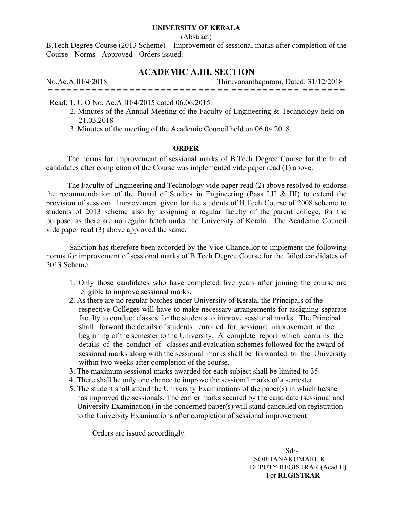### **UNIVERSITY OF KERALA**

#### (Abstract)

B.Tech Degree Course (2013 Scheme) – Improvement of sessional marks after completion of the Course - Norms - Approved - Orders issued. = = = = = = = = = = = = = = = = = = = = = = = = = = = = = = = = = = = = = = = = = = = = = = = = = = =

# **ACADEMIC A.III. SECTION**

No.Ac.A.III/4/2018 Thiruvananthapuram, Dated: 31/12/2018 = = = = = = = = = = = = = = = = = = = = = = = = = = = = = = = = = = = = = = = = = = = = = = =

Read: 1. U O No. Ac.A III/4/2015 dated 06.06.2015.

- 2. Minutes of the Annual Meeting of the Faculty of Engineering & Technology held on 21.03.2018
- 3. Minutes of the meeting of the Academic Council held on 06.04.2018.

# **ORDER**

The norms for improvement of sessional marks of B.Tech Degree Course for the failed candidates after completion of the Course was implemented vide paper read (1) above.

The Faculty of Engineering and Technology vide paper read (2) above resolved to endorse the recommendation of the Board of Studies in Engineering (Pass I,II & III) to extend the provision of sessional Improvement given for the students of B.Tech Course of 2008 scheme to students of 2013 scheme also by assigning a regular faculty of the parent college, for the purpose, as there are no regular batch under the University of Kerala. The Academic Council vide paper read (3) above approved the same.

Sanction has therefore been accorded by the Vice-Chancellor to implement the following norms for improvement of sessional marks of B.Tech Degree Course for the failed candidates of 2013 Scheme.

- 1. Only those candidates who have completed five years after joining the course are eligible to improve sessional marks.
- 2. As there are no regular batches under University of Kerala, the Principals of the respective Colleges will have to make necessary arrangements for assigning separate faculty to conduct classes for the students to improve sessional marks. The Principal shall forward the details of students enrolled for sessional improvement in the beginning of the semester to the University. A complete report which contains the details of the conduct of classes and evaluation schemes followed for the award of sessional marks along with the sessional marks shall be forwarded to the University within two weeks after completion of the course.
- 3. The maximum sessional marks awarded for each subject shall be limited to 35.
- 4. There shall be only one chance to improve the sessional marks of a semester.
- 5. The student shall attend the University Examinations of the paper(s) in which he/she has improved the sessionals. The earlier marks secured by the candidate (sessional and University Examination) in the concerned paper(s) will stand cancelled on registration to the University Examinations after completion of sessional improvement

Orders are issued accordingly.

 Sd/- SOBHANAKUMARI. K DEPUTY REGISTRAR **(**Acad.II**)** For **REGISTRAR**